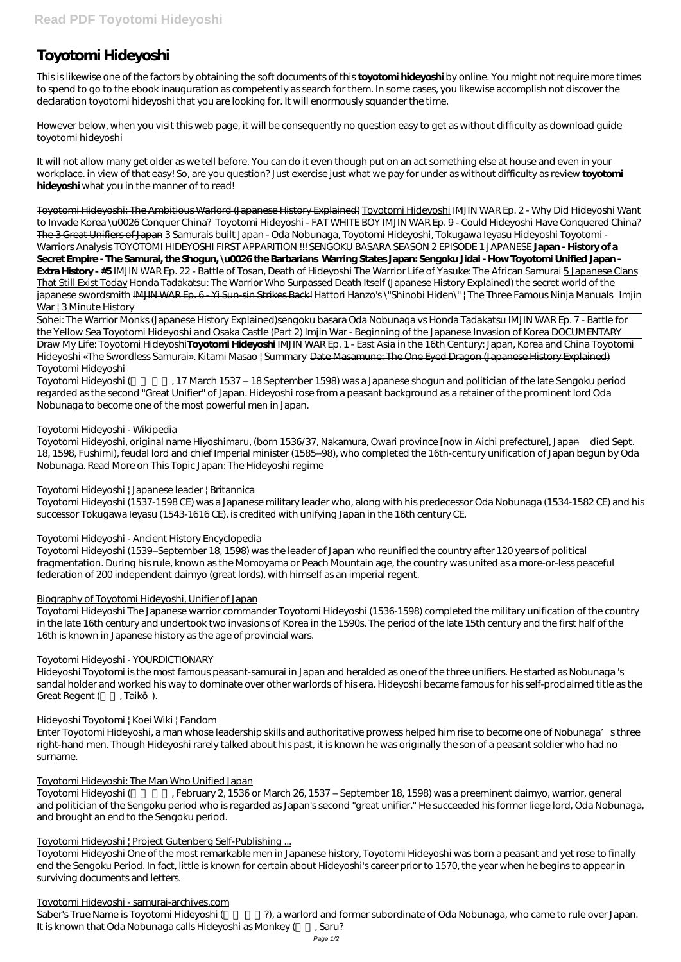# **Toyotomi Hideyoshi**

This is likewise one of the factors by obtaining the soft documents of this **toyotomi hideyoshi** by online. You might not require more times to spend to go to the ebook inauguration as competently as search for them. In some cases, you likewise accomplish not discover the declaration toyotomi hideyoshi that you are looking for. It will enormously squander the time.

However below, when you visit this web page, it will be consequently no question easy to get as without difficulty as download guide toyotomi hideyoshi

It will not allow many get older as we tell before. You can do it even though put on an act something else at house and even in your workplace. in view of that easy! So, are you question? Just exercise just what we pay for under as without difficulty as review **toyotomi hideyoshi** what you in the manner of to read!

Sohei: The Warrior Monks (Japanese History Explained)sengoku basara Oda Nobunaga vs Honda Tadakatsu IMJIN WAR Ep. 7 - Battle for the Yellow Sea Toyotomi Hideyoshi and Osaka Castle (Part 2) Imjin War - Beginning of the Japanese Invasion of Korea DOCUMENTARY Draw My Life: Toyotomi Hideyoshi**Toyotomi Hideyoshi** IMJIN WAR Ep. 1 - East Asia in the 16th Century: Japan, Korea and China *Toyotomi*

Toyotomi Hideyoshi (17 March 1537 – 18 September 1598) was a Japanese shogun and politician of the late Sengoku period regarded as the second "Great Unifier" of Japan. Hideyoshi rose from a peasant background as a retainer of the prominent lord Oda Nobunaga to become one of the most powerful men in Japan.

Toyotomi Hideyoshi: The Ambitious Warlord (Japanese History Explained) Toyotomi Hideyoshi *IMJIN WAR Ep. 2 - Why Did Hideyoshi Want to Invade Korea \u0026 Conquer China? Toyotomi Hideyoshi - FAT WHITE BOY* IMJIN WAR Ep. 9 - Could Hideyoshi Have Conquered China? The 3 Great Unifiers of Japan *3 Samurais built Japan - Oda Nobunaga, Toyotomi Hideyoshi, Tokugawa Ieyasu Hideyoshi Toyotomi - Warriors Analysis* TOYOTOMI HIDEYOSHI FIRST APPARITION !!! SENGOKU BASARA SEASON 2 EPISODE 1 JAPANESE **Japan - History of a Secret Empire - The Samurai, the Shogun, \u0026 the Barbarians Warring States Japan: Sengoku Jidai - How Toyotomi Unified Japan - Extra History - #5** IMJIN WAR Ep. 22 - Battle of Tosan, Death of Hideyoshi The Warrior Life of Yasuke: The African Samurai 5 Japanese Clans That Still Exist Today *Honda Tadakatsu: The Warrior Who Surpassed Death Itself (Japanese History Explained) the secret world of the japanese swordsmith* IMJIN WAR Ep. 6 - Yi Sun-sin Strikes Back! *Hattori Hanzo's \"Shinobi Hiden\" | The Three Famous Ninja Manuals Imjin War | 3 Minute History*

Hideyoshi Toyotomi is the most famous peasant-samurai in Japan and heralded as one of the three unifiers. He started as Nobunaga 's sandal holder and worked his way to dominate over other warlords of his era. Hideyoshi became famous for his self-proclaimed title as the Great Regent ( , Taik ).

*Hideyoshi «The Swordless Samurai». Kitami Masao | Summary* Date Masamune: The One Eyed Dragon (Japanese History Explained) Toyotomi Hideyoshi

Toyotomi Hideyoshi (February 2, 1536 or March 26, 1537 – September 18, 1598) was a preeminent daimyo, warrior, general and politician of the Sengoku period who is regarded as Japan's second "great unifier." He succeeded his former liege lord, Oda Nobunaga, and brought an end to the Sengoku period.

# Toyotomi Hideyoshi - Wikipedia

Toyotomi Hideyoshi, original name Hiyoshimaru, (born 1536/37, Nakamura, Owari province [now in Aichi prefecture], Japan—died Sept. 18, 1598, Fushimi), feudal lord and chief Imperial minister (1585–98), who completed the 16th-century unification of Japan begun by Oda Nobunaga. Read More on This Topic Japan: The Hideyoshi regime

# Toyotomi Hideyoshi | Japanese leader | Britannica

Toyotomi Hideyoshi (1537-1598 CE) was a Japanese military leader who, along with his predecessor Oda Nobunaga (1534-1582 CE) and his successor Tokugawa Ieyasu (1543-1616 CE), is credited with unifying Japan in the 16th century CE.

# Toyotomi Hideyoshi - Ancient History Encyclopedia

Toyotomi Hideyoshi (1539–September 18, 1598) was the leader of Japan who reunified the country after 120 years of political fragmentation. During his rule, known as the Momoyama or Peach Mountain age, the country was united as a more-or-less peaceful federation of 200 independent daimyo (great lords), with himself as an imperial regent.

# Biography of Toyotomi Hideyoshi, Unifier of Japan

Toyotomi Hideyoshi The Japanese warrior commander Toyotomi Hideyoshi (1536-1598) completed the military unification of the country in the late 16th century and undertook two invasions of Korea in the 1590s. The period of the late 15th century and the first half of the 16th is known in Japanese history as the age of provincial wars.

# Toyotomi Hideyoshi - YOURDICTIONARY

# Hideyoshi Toyotomi | Koei Wiki | Fandom

Enter Toyotomi Hideyoshi, a man whose leadership skills and authoritative prowess helped him rise to become one of Nobunaga's three right-hand men. Though Hideyoshi rarely talked about his past, it is known he was originally the son of a peasant soldier who had no surname.

#### Toyotomi Hideyoshi: The Man Who Unified Japan

#### Toyotomi Hideyoshi | Project Gutenberg Self-Publishing ...

Toyotomi Hideyoshi One of the most remarkable men in Japanese history, Toyotomi Hideyoshi was born a peasant and yet rose to finally end the Sengoku Period. In fact, little is known for certain about Hideyoshi's career prior to 1570, the year when he begins to appear in surviving documents and letters.

#### Toyotomi Hideyoshi - samurai-archives.com

Saber's True Name is Toyotomi Hideyoshi (?), a warlord and former subordinate of Oda Nobunaga, who came to rule over Japan. It is known that Oda Nobunaga calls Hideyoshi as Monkey (Fig. 26)